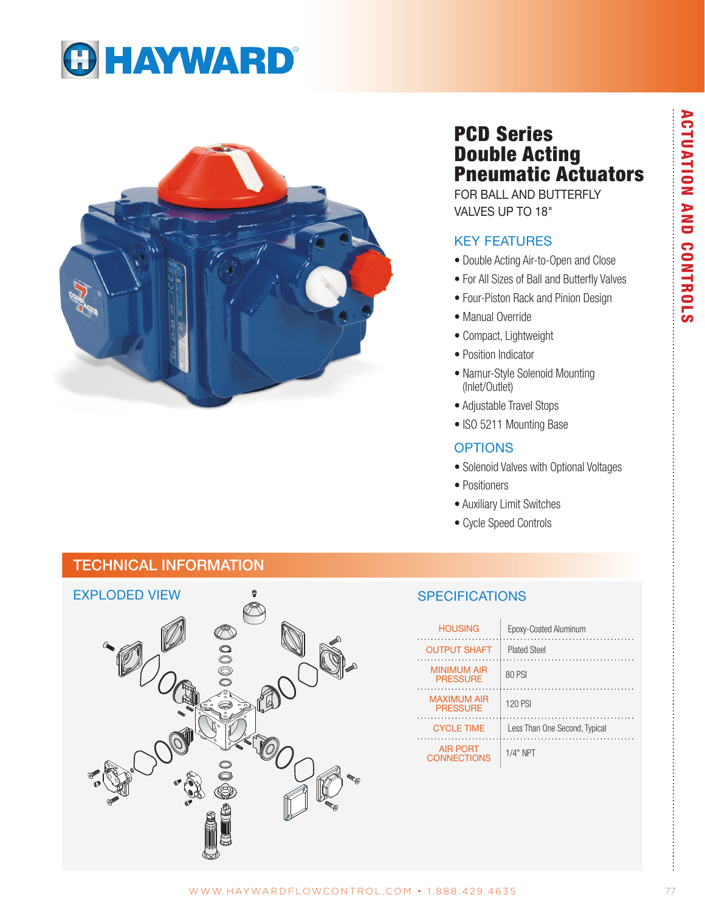



# PCD Series Double Acting Pneumatic Actuators

FOR BALL AND BUTTERFLY VALVES UP TO 18"

### KEY FEATURES

- Double Acting Air-to-Open and Close
- For All Sizes of Ball and Butterfly Valves
- Four-Piston Rack and Pinion Design
- Manual Override
- Compact, Lightweight
- Position Indicator
- Namur-Style Solenoid Mounting (Inlet/Outlet)
- Adjustable Travel Stops
- ISO 5211 Mounting Base

### **OPTIONS**

- Solenoid Valves with Optional Voltages
- Positioners
- Auxiliary Limit Switches
- Cycle Speed Controls

# TECHNICAL INFORMATION



### **SPECIFICATIONS**

| <b>HOUSING</b>                        | Epoxy-Coated Aluminum         |
|---------------------------------------|-------------------------------|
| <b>OUTPUT SHAFT</b>                   | <b>Plated Steel</b>           |
| <b>MINIMUM AIR</b><br><b>PRESSURE</b> | 80 PSI                        |
| <b>MAXIMUM AIR</b><br><b>PRESSURE</b> | <b>120 PSI</b>                |
| <b>CYCLE TIME</b>                     | Less Than One Second, Typical |
| <b>AIR PORT</b><br><b>CONNECTIONS</b> | $1/4"$ NPT                    |